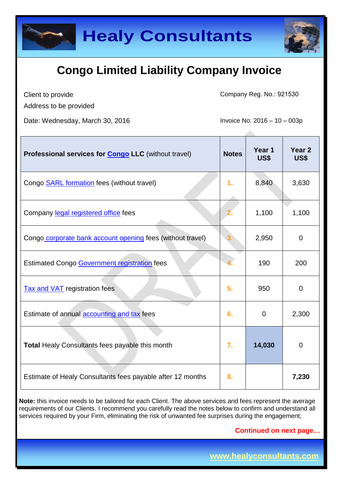

Client to provide

Company Reg. No.: 921530

Address to be provided

Date: Wednesday, March 30, 2016 **Invoice No: 2016** - 10 – 003p

| Professional services for <b>Congo LLC</b> (without travel) | <b>Notes</b> | Year 1<br><b>US\$</b> | Year <sub>2</sub><br>US\$ |
|-------------------------------------------------------------|--------------|-----------------------|---------------------------|
| Congo <b>SARL</b> formation fees (without travel)           | 1.           | 8,840                 | 3,630                     |
| Company legal registered office fees                        |              | 1,100                 | 1,100                     |
| Congo corporate bank account opening fees (without travel)  |              | 2,950                 | $\overline{0}$            |
| <b>Estimated Congo Government registration fees</b>         |              | 190                   | 200                       |
| <b>Tax and VAT</b> registration fees                        | 5.           | 950                   | $\overline{0}$            |
| Estimate of annual accounting and tax fees                  | 6.           | 0                     | 2,300                     |
| <b>Total Healy Consultants fees payable this month</b>      | 7.           | 14,030                | 0                         |
| Estimate of Healy Consultants fees payable after 12 months  | 8.           |                       | 7,230                     |

**Note:** this invoice needs to be tailored for each Client. The above services and fees represent the average requirements of our Clients. I recommend you carefully read the notes below to confirm and understand all services required by your Firm, eliminating the risk of unwanted fee surprises during the engagement;

**Continued on next page…**

**www.healyconsultants.com**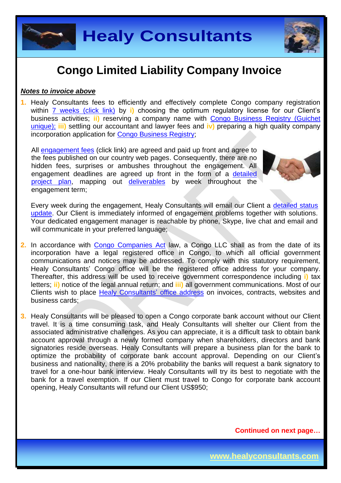

#### *Notes to invoice above*

**1.** Healy Consultants fees to efficiently and effectively complete Congo company registration within [7 weeks \(click link\)](http://www.healyconsultants.com/congo-company-registration/fees-timelines/) by **i)** choosing the optimum regulatory license for our Client's business activities; **ii)** reserving a company name with [Congo Business Registry \(Guichet](http://fr.guichetunique.cd/)  [unique\);](http://fr.guichetunique.cd/) **iii)** settling our accountant and lawyer fees and **iv)** preparing a high quality company incorporation application for [Congo Business Registry;](http://fr.guichetunique.cd/)

All [engagement fees](http://www.healyconsultants.com/company-registration-fees/) (click link) are agreed and paid up front and agree to the fees published on our country web pages. Consequently, there are no hidden fees, surprises or ambushes throughout the engagement. All engagement deadlines are agreed up front in the form of a [detailed](http://www.healyconsultants.com/index-important-links/example-project-plan/)  [project plan,](http://www.healyconsultants.com/index-important-links/example-project-plan/) mapping out [deliverables](http://www.healyconsultants.com/deliverables-to-our-clients/) by week throughout the engagement term;



Every week during the engagement, Healy Consultants will email our Client a detailed status [update.](http://www.healyconsultants.com/index-important-links/weekly-engagement-status-email/) Our Client is immediately informed of engagement problems together with solutions. Your dedicated engagement manager is reachable by phone, Skype, live chat and email and will communicate in your preferred language;

- **2.** In accordance with [Congo Companies Act](http://www.ohada.com/actes-uniformes.html) law, a Congo LLC shall as from the date of its incorporation have a legal registered office in Congo, to which all official government communications and notices may be addressed. To comply with this statutory requirement, Healy Consultants' Congo office will be the registered office address for your company. Thereafter, this address will be used to receive government correspondence including **i)** tax letters; **ii)** notice of the legal annual return; and **iii)** all government communications. Most of our Clients wish to place [Healy Consultants'](http://www.healyconsultants.com/corporate-outsourcing-services/company-secretary-and-legal-registered-office/) office address on invoices, contracts, websites and business cards;
- **3.** Healy Consultants will be pleased to open a Congo corporate bank account without our Client travel. It is a time consuming task, and Healy Consultants will shelter our Client from the associated administrative challenges. As you can appreciate, it is a difficult task to obtain bank account approval through a newly formed company when shareholders, directors and bank signatories reside overseas. Healy Consultants will prepare a business plan for the bank to optimize the probability of corporate bank account approval. Depending on our Client's business and nationality, there is a 20% probability the banks will request a bank signatory to travel for a one-hour bank interview. Healy Consultants will try its best to negotiate with the bank for a travel exemption. If our Client must travel to Congo for corporate bank account opening, Healy Consultants will refund our Client US\$950;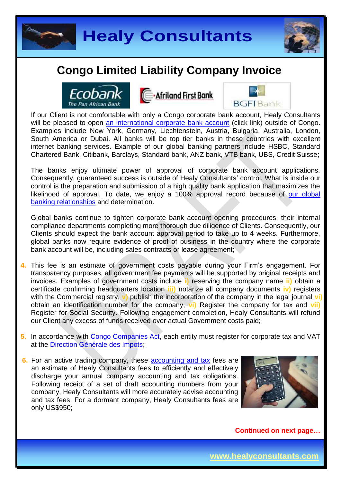





Afriland First Bank



If our Client is not comfortable with only a Congo corporate bank account, Healy Consultants will be pleased to open [an international corporate bank account](http://www.healyconsultants.com/international-banking/) (click link) outside of Congo. Examples include New York, Germany, Liechtenstein, Austria, Bulgaria, Australia, London, South America or Dubai. All banks will be top tier banks in these countries with excellent internet banking services. Example of our global banking partners include HSBC, Standard Chartered Bank, Citibank, Barclays, Standard bank, ANZ bank, VTB bank, UBS, Credit Suisse;

The banks enjoy ultimate power of approval of corporate bank account applications. Consequently, guaranteed success is outside of Healy Consultants' control. What is inside our control is the preparation and submission of a high quality bank application that maximizes the likelihood of approval. To date, we enjoy a 100% approval record because of our global [banking relationships](http://www.healyconsultants.com/international-banking/corporate-accounts/) and determination.

Global banks continue to tighten corporate bank account opening procedures, their internal compliance departments completing more thorough due diligence of Clients. Consequently, our Clients should expect the bank account approval period to take up to 4 weeks. Furthermore, global banks now require evidence of proof of business in the country where the corporate bank account will be, including sales contracts or lease agreement;

- **4.** This fee is an estimate of government costs payable during your Firm's engagement. For transparency purposes, all government fee payments will be supported by original receipts and invoices. Examples of government costs include **i)** reserving the company name **ii)** obtain a certificate confirming headquarters location **iii)** notarize all company documents **iv)** registers with the Commercial registry, **v)** publish the incorporation of the company in the legal journal **vi)** obtain an identification number for the company, **vi)** Register the company for tax and **vii)** Register for Social Security. Following engagement completion, Healy Consultants will refund our Client any excess of funds received over actual Government costs paid;
- **5.** In accordance with [Congo Companies Act,](http://www.ohada.com/actes-uniformes.html) each entity must register for corporate tax and VAT at the [Direction Générale des Impots;](http://www.dgi.gouv.cd/)
- **6.** For an active trading company, these [accounting and tax](http://www.healyconsultants.com/congo-company-registration/accounting-legal/) fees are an estimate of Healy Consultants fees to efficiently and effectively discharge your annual company accounting and tax obligations. Following receipt of a set of draft accounting numbers from your company, Healy Consultants will more accurately advise accounting and tax fees. For a dormant company, Healy Consultants fees are only US\$950;

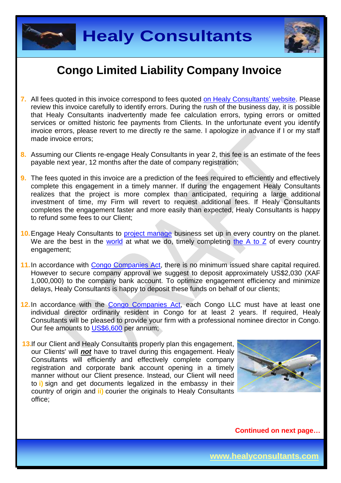



- **7.** All fees quoted in this invoice correspond to fees quoted [on Healy Consultants'](http://www.healyconsultants.com/company-registration-fees/) website. Please review this invoice carefully to identify errors. During the rush of the business day, it is possible that Healy Consultants inadvertently made fee calculation errors, typing errors or omitted services or omitted historic fee payments from Clients. In the unfortunate event you identify invoice errors, please revert to me directly re the same. I apologize in advance if I or my staff made invoice errors;
- **8.** Assuming our Clients re-engage Healy Consultants in year 2, this fee is an estimate of the fees payable next year, 12 months after the date of company registration;
- **9.** The fees quoted in this invoice are a prediction of the fees required to efficiently and effectively complete this engagement in a timely manner. If during the engagement Healy Consultants realizes that the project is more complex than anticipated, requiring a large additional investment of time, my Firm will revert to request additional fees. If Healy Consultants completes the engagement faster and more easily than expected, Healy Consultants is happy to refund some fees to our Client;
- 10. Engage Healy Consultants to **project manage** business set up in every country on the planet. We are the best in the [world](http://www.healyconsultants.com/best-in-the-world/) at what we do, timely completing [the A to Z](http://www.healyconsultants.com/a-to-z-of-business-set-up/) of every country engagement;
- **11.**In accordance with [Congo Companies Act,](http://www.ohada.com/actes-uniformes.html) there is no minimum issued share capital required. However to secure company approval we suggest to deposit approximately US\$2,030 (XAF 1,000,000) to the company bank account. To optimize engagement efficiency and minimize delays, Healy Consultants is happy to deposit these funds on behalf of our clients;
- **12.**In accordance with the [Congo Companies Act,](http://www.ohada.com/actes-uniformes.html) each Congo LLC must have at least one individual director ordinarily resident in Congo for at least 2 years. If required, Healy Consultants will be pleased to provide your firm with a professional nominee director in Congo. Our fee amounts to [US\\$6,600](http://www.healyconsultants.com/corporate-advisory-services/resident-director-services/) per annum;
- **13.** If our Client and Healy Consultants properly plan this engagement, our Clients' will *not* have to travel during this engagement. Healy Consultants will efficiently and effectively complete company registration and corporate bank account opening in a timely manner without our Client presence. Instead, our Client will need to **i)** sign and get documents legalized in the embassy in their country of origin and **ii)** courier the originals to Healy Consultants office;

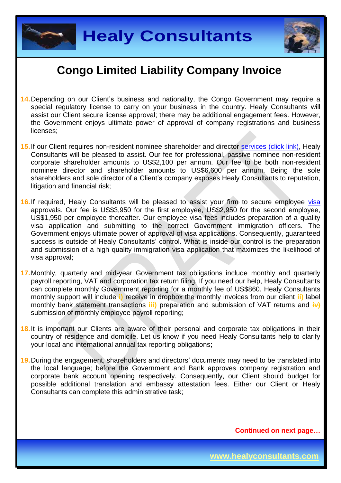



- **14.**Depending on our Client's business and nationality, the Congo Government may require a special regulatory license to carry on your business in the country. Healy Consultants will assist our Client secure license approval; there may be additional engagement fees. However, the Government enjoys ultimate power of approval of company registrations and business licenses;
- 15. If our Client requires non-resident nominee shareholder and director services [\(click link\),](http://www.healyconsultants.com/corporate-outsourcing-services/nominee-shareholders-directors/) Healy Consultants will be pleased to assist. Our fee for professional, passive nominee non-resident corporate shareholder amounts to US\$2,100 per annum. Our fee to be both non-resident nominee director and shareholder amounts to US\$6,600 per annum. Being the sole shareholders and sole director of a Client's company exposes Healy Consultants to reputation, litigation and financial risk;
- 16. If required, Healy Consultants will be pleased to assist your firm to secure employee [visa](http://www.healyconsultants.com/corporate-advisory-services/migration/) approvals. Our fee is US\$3,950 for the first employee, US\$2,950 for the second employee, US\$1,950 per employee thereafter. Our employee visa fees includes preparation of a quality visa application and submitting to the correct Government immigration officers. The Government enjoys ultimate power of approval of visa applications. Consequently, guaranteed success is outside of Healy Consultants' control. What is inside our control is the preparation and submission of a high quality immigration visa application that maximizes the likelihood of visa approval;
- **17.**Monthly, quarterly and mid-year Government tax obligations include monthly and quarterly payroll reporting, VAT and corporation tax return filing. If you need our help, Healy Consultants can complete monthly Government reporting for a monthly fee of US\$860. Healy Consultants monthly support will include **i)** receive in dropbox the monthly invoices from our client **ii)** label monthly bank statement transactions **iii)** preparation and submission of VAT returns and **iv)** submission of monthly employee payroll reporting;
- **18.**It is important our Clients are aware of their personal and corporate tax obligations in their country of residence and domicile. Let us know if you need Healy Consultants help to clarify your local and international annual tax reporting obligations;
- **19.**During the engagement, shareholders and directors' documents may need to be translated into the local language; before the Government and Bank approves company registration and corporate bank account opening respectively. Consequently, our Client should budget for possible additional translation and embassy attestation fees. Either our Client or Healy Consultants can complete this administrative task;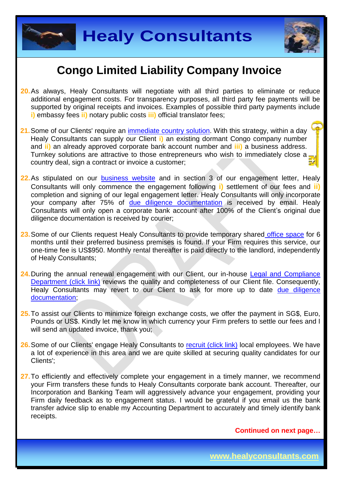



- **20.**As always, Healy Consultants will negotiate with all third parties to eliminate or reduce additional engagement costs. For transparency purposes, all third party fee payments will be supported by original receipts and invoices. Examples of possible third party payments include **i)** embassy fees **ii)** notary public costs **iii)** official translator fees;
- **21.**Some of our Clients' require an [immediate country](http://www.healyconsultants.com/turnkey-solutions/) solution. With this strategy, within a day Healy Consultants can supply our Client **i)** an existing dormant Congo company number and **ii)** an already approved corporate bank account number and **iii)** a business address. Turnkey solutions are attractive to those entrepreneurs who wish to immediately close a country deal, sign a contract or invoice a customer:
- **22.**As stipulated on our [business website](http://www.healyconsultants.com/) and in section 3 of our engagement letter, Healy Consultants will only commence the engagement following **i)** settlement of our fees and **ii)** completion and signing of our legal engagement letter. Healy Consultants will only incorporate your company after 75% of [due diligence documentation](http://www.healyconsultants.com/due-diligence/) is received by email. Healy Consultants will only open a corporate bank account after 100% of the Client's original due diligence documentation is received by courier;
- **23.**Some of our Clients request Healy Consultants to provide temporary shared [office space](http://www.healyconsultants.com/virtual-office/) for 6 months until their preferred business premises is found. If your Firm requires this service, our one-time fee is US\$950. Monthly rental thereafter is paid directly to the landlord, independently of Healy Consultants;
- 24. During the annual renewal engagement with our Client, our in-house Legal and Compliance [Department \(click link\)](http://www.healyconsultants.com/about-us/key-personnel/cai-xin-profile/) reviews the quality and completeness of our Client file. Consequently, Healy Consultants may revert to our Client to ask for more up to date due diligence [documentation;](http://www.healyconsultants.com/due-diligence/)
- **25.**To assist our Clients to minimize foreign exchange costs, we offer the payment in SG\$, Euro, Pounds or US\$. Kindly let me know in which currency your Firm prefers to settle our fees and I will send an updated invoice, thank you;
- 26. Some of our Clients' engage Healy Consultants to [recruit \(click link\)](http://www.healyconsultants.com/corporate-outsourcing-services/how-we-help-our-clients-recruit-quality-employees/) local employees. We have a lot of experience in this area and we are quite skilled at securing quality candidates for our Clients';
- **27.**To efficiently and effectively complete your engagement in a timely manner, we recommend your Firm transfers these funds to Healy Consultants corporate bank account. Thereafter, our Incorporation and Banking Team will aggressively advance your engagement, providing your Firm daily feedback as to engagement status. I would be grateful if you email us the bank transfer advice slip to enable my Accounting Department to accurately and timely identify bank receipts.

**Continued on next page…**

**www.healyconsultants.com**